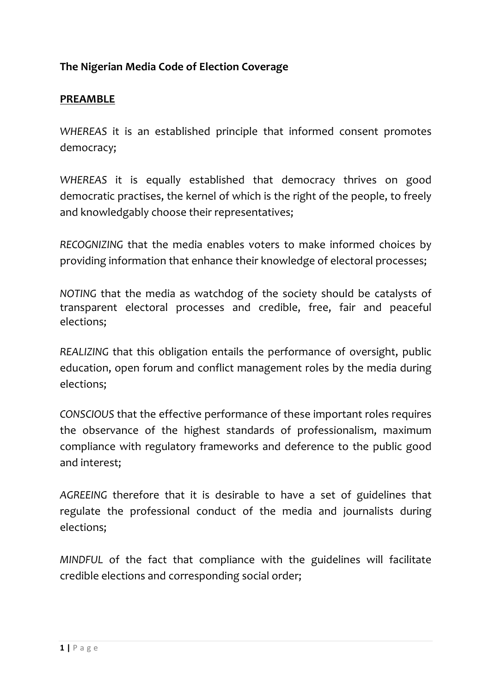# **The Nigerian Media Code of Election Coverage**

### **PREAMBLE**

*WHEREAS* it is an established principle that informed consent promotes democracy;

WHEREAS it is equally established that democracy thrives on good democratic practises, the kernel of which is the right of the people, to freely and knowledgably choose their representatives;

*RECOGNIZING* that the media enables voters to make informed choices by providing information that enhance their knowledge of electoral processes;

*NOTING* that the media as watchdog of the society should be catalysts of transparent electoral processes and credible, free, fair and peaceful elections; 

*REALIZING* that this obligation entails the performance of oversight, public education, open forum and conflict management roles by the media during elections; 

**CONSCIOUS** that the effective performance of these important roles requires the observance of the highest standards of professionalism, maximum compliance with regulatory frameworks and deference to the public good and interest;

AGREEING therefore that it is desirable to have a set of guidelines that regulate the professional conduct of the media and journalists during elections;

*MINDFUL* of the fact that compliance with the guidelines will facilitate credible elections and corresponding social order;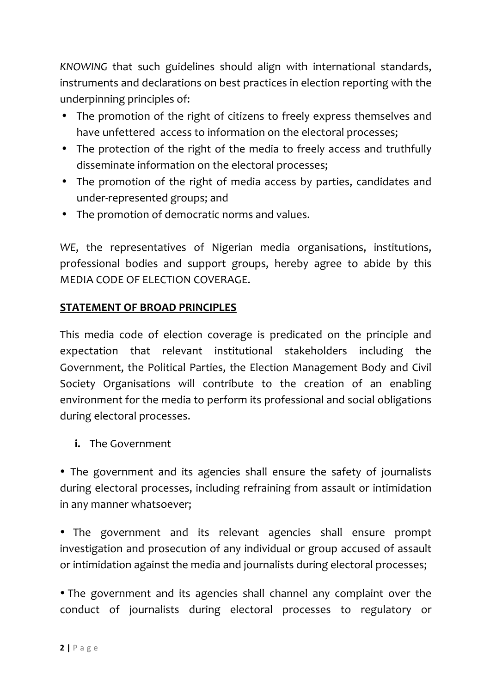KNOWING that such guidelines should align with international standards, instruments and declarations on best practices in election reporting with the underpinning principles of:

- The promotion of the right of citizens to freely express themselves and have unfettered access to information on the electoral processes;
- The protection of the right of the media to freely access and truthfully disseminate information on the electoral processes;
- The promotion of the right of media access by parties, candidates and under-represented groups; and
- The promotion of democratic norms and values.

WE, the representatives of Nigerian media organisations, institutions, professional bodies and support groups, hereby agree to abide by this MEDIA CODE OF ELECTION COVERAGE.

# **STATEMENT OF BROAD PRINCIPLES**

This media code of election coverage is predicated on the principle and expectation that relevant institutional stakeholders including the Government, the Political Parties, the Election Management Body and Civil Society Organisations will contribute to the creation of an enabling environment for the media to perform its professional and social obligations during electoral processes.

**i.** The Government

• The government and its agencies shall ensure the safety of journalists during electoral processes, including refraining from assault or intimidation in any manner whatsoever;

• The government and its relevant agencies shall ensure prompt investigation and prosecution of any individual or group accused of assault or intimidation against the media and journalists during electoral processes;

• The government and its agencies shall channel any complaint over the conduct of journalists during electoral processes to regulatory or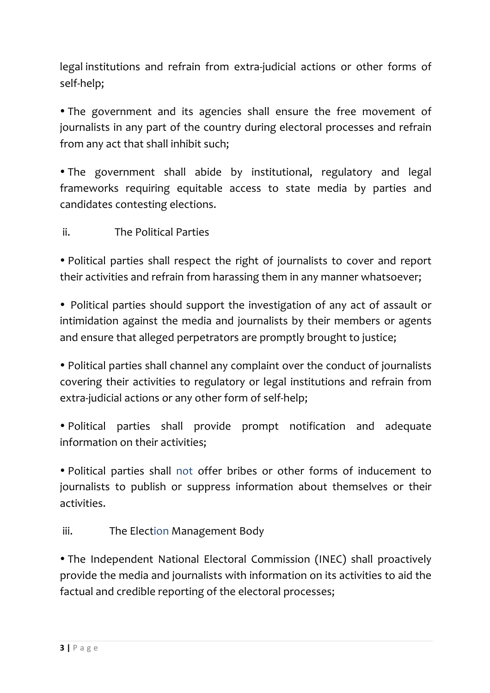legal institutions and refrain from extra-judicial actions or other forms of self-help;

• The government and its agencies shall ensure the free movement of journalists in any part of the country during electoral processes and refrain from any act that shall inhibit such;

• The government shall abide by institutional, regulatory and legal frameworks requiring equitable access to state media by parties and candidates contesting elections.

ii. The Political Parties

• Political parties shall respect the right of journalists to cover and report their activities and refrain from harassing them in any manner whatsoever;

• Political parties should support the investigation of any act of assault or intimidation against the media and journalists by their members or agents and ensure that alleged perpetrators are promptly brought to justice;

• Political parties shall channel any complaint over the conduct of journalists covering their activities to regulatory or legal institutions and refrain from extra-judicial actions or any other form of self-help;

• Political parties shall provide prompt notification and adequate information on their activities;

• Political parties shall not offer bribes or other forms of inducement to journalists to publish or suppress information about themselves or their activities.

iii. The Election Management Body

• The Independent National Electoral Commission (INEC) shall proactively provide the media and journalists with information on its activities to aid the factual and credible reporting of the electoral processes;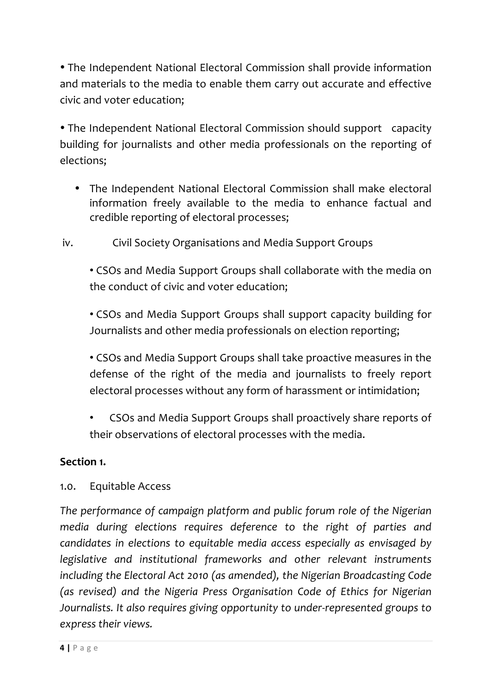• The Independent National Electoral Commission shall provide information and materials to the media to enable them carry out accurate and effective civic and voter education;

• The Independent National Electoral Commission should support capacity building for journalists and other media professionals on the reporting of elections;

- The Independent National Electoral Commission shall make electoral information freely available to the media to enhance factual and credible reporting of electoral processes;
- iv. Civil Society Organisations and Media Support Groups

• CSOs and Media Support Groups shall collaborate with the media on the conduct of civic and voter education:

• CSOs and Media Support Groups shall support capacity building for Journalists and other media professionals on election reporting;

• CSOs and Media Support Groups shall take proactive measures in the defense of the right of the media and journalists to freely report electoral processes without any form of harassment or intimidation;

CSOs and Media Support Groups shall proactively share reports of their observations of electoral processes with the media.

# **Section 1.**

# 1.0. Equitable Access

The performance of campaign platform and public forum role of the Nigerian *media* during elections requires deference to the right of parties and *candidates in elections to equitable media access especially as envisaged by legislative* and *institutional* frameworks and other relevant instruments *including* the Electoral Act 2010 (as amended), the Nigerian Broadcasting Code *(as revised)* and the Nigeria Press Organisation Code of Ethics for Nigerian *Journalists. It also requires giving opportunity to under-represented groups to* express their views.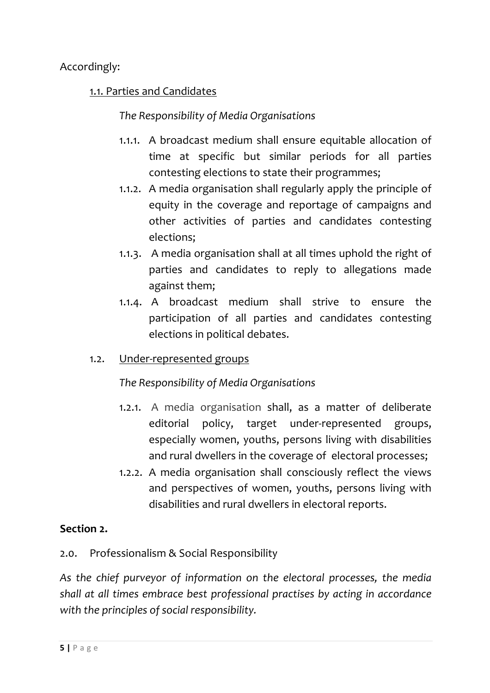# 1.1. Parties and Candidates

### *The Responsibility of Media Organisations*

- 1.1.1. A broadcast medium shall ensure equitable allocation of time at specific but similar periods for all parties contesting elections to state their programmes;
- 1.1.2. A media organisation shall regularly apply the principle of equity in the coverage and reportage of campaigns and other activities of parties and candidates contesting elections;
- 1.1.3. A media organisation shall at all times uphold the right of parties and candidates to reply to allegations made against them:
- 1.1.4. A broadcast medium shall strive to ensure the participation of all parties and candidates contesting elections in political debates.

### 1.2. Under-represented groups

*The Responsibility of Media Organisations*

- 1.2.1. A media organisation shall, as a matter of deliberate editorial policy, target under-represented groups, especially women, youths, persons living with disabilities and rural dwellers in the coverage of electoral processes;
- 1.2.2. A media organisation shall consciously reflect the views and perspectives of women, youths, persons living with disabilities and rural dwellers in electoral reports.

# **Section 2.**

2.0. Professionalism & Social Responsibility

As the chief purveyor of information on the electoral processes, the media shall at all times embrace best professional practises by acting in accordance with the principles of social responsibility.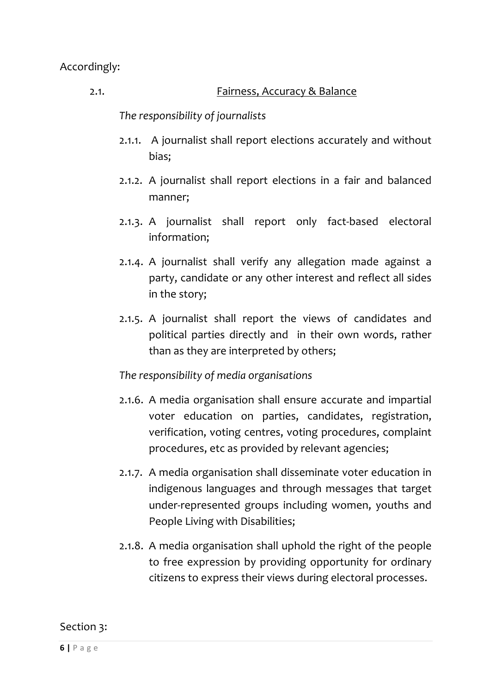Accordingly:

2.1. The South Communication of Eairness, Accuracy & Balance

The responsibility of journalists

- 2.1.1. A journalist shall report elections accurately and without bias;
- 2.1.2. A journalist shall report elections in a fair and balanced manner;
- 2.1.3. A journalist shall report only fact-based electoral information;
- 2.1.4. A journalist shall verify any allegation made against a party, candidate or any other interest and reflect all sides in the story;
- 2.1.5. A journalist shall report the views of candidates and political parties directly and in their own words, rather than as they are interpreted by others;

### The responsibility of media organisations

- 2.1.6. A media organisation shall ensure accurate and impartial voter education on parties, candidates, registration, verification, voting centres, voting procedures, complaint procedures, etc as provided by relevant agencies;
- 2.1.7. A media organisation shall disseminate voter education in indigenous languages and through messages that target under-represented groups including women, youths and People Living with Disabilities;
- 2.1.8. A media organisation shall uphold the right of the people to free expression by providing opportunity for ordinary citizens to express their views during electoral processes.

#### Section 3: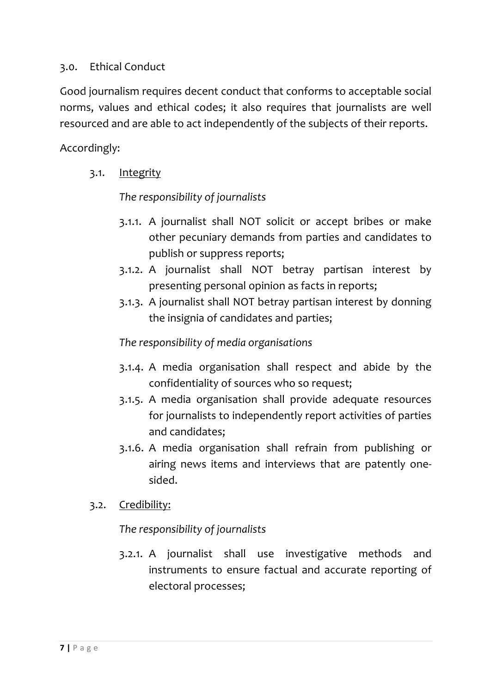### 3.0. Ethical Conduct

Good journalism requires decent conduct that conforms to acceptable social norms, values and ethical codes; it also requires that journalists are well resourced and are able to act independently of the subjects of their reports.

Accordingly:

3.1. Integrity

The responsibility of journalists

- 3.1.1. A journalist shall NOT solicit or accept bribes or make other pecuniary demands from parties and candidates to publish or suppress reports;
- 3.1.2. A journalist shall NOT betray partisan interest by presenting personal opinion as facts in reports;
- 3.1.3. A journalist shall NOT betray partisan interest by donning the insignia of candidates and parties;

The responsibility of media organisations

- 3.1.4. A media organisation shall respect and abide by the confidentiality of sources who so request;
- 3.1.5. A media organisation shall provide adequate resources for journalists to independently report activities of parties and candidates:
- 3.1.6. A media organisation shall refrain from publishing or airing news items and interviews that are patently onesided.

### 3.2. Credibility:

The responsibility of journalists

3.2.1. A journalist shall use investigative methods and instruments to ensure factual and accurate reporting of electoral processes;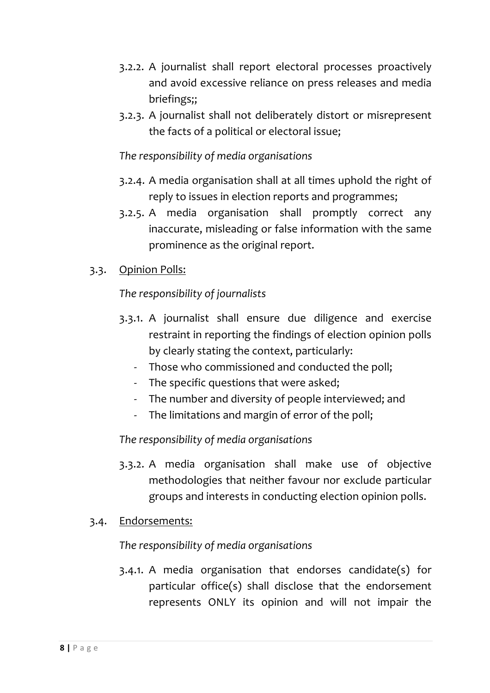- 3.2.2. A journalist shall report electoral processes proactively and avoid excessive reliance on press releases and media briefings;;
- 3.2.3. A journalist shall not deliberately distort or misrepresent the facts of a political or electoral issue;

### *The responsibility of media organisations*

- 3.2.4. A media organisation shall at all times uphold the right of reply to issues in election reports and programmes;
- 3.2.5. A media organisation shall promptly correct any inaccurate, misleading or false information with the same prominence as the original report.
- 3.3. Opinion Polls:

### The responsibility of journalists

- 3.3.1. A journalist shall ensure due diligence and exercise restraint in reporting the findings of election opinion polls by clearly stating the context, particularly:
	- Those who commissioned and conducted the poll;
	- The specific questions that were asked;
	- The number and diversity of people interviewed; and
	- The limitations and margin of error of the poll;

### The responsibility of media organisations

3.3.2. A media organisation shall make use of objective methodologies that neither favour nor exclude particular groups and interests in conducting election opinion polls.

### 3.4. Endorsements:

### The responsibility of media organisations

 $3.4.1.$  A media organisation that endorses candidate(s) for particular office(s) shall disclose that the endorsement represents ONLY its opinion and will not impair the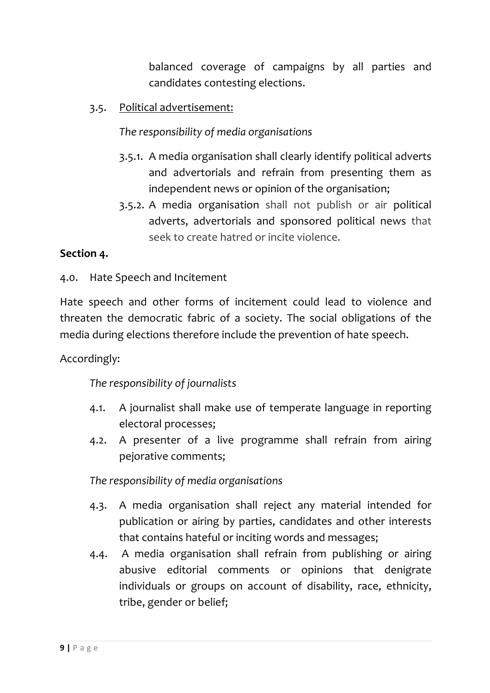balanced coverage of campaigns by all parties and candidates contesting elections.

3.5. Political advertisement:

The responsibility of media organisations

- 3.5.1. A media organisation shall clearly identify political adverts and advertorials and refrain from presenting them as independent news or opinion of the organisation;
- 3.5.2. A media organisation shall not publish or air political adverts, advertorials and sponsored political news that seek to create hatred or incite violence.

# **Section 4.**

4.0. Hate Speech and Incitement

Hate speech and other forms of incitement could lead to violence and threaten the democratic fabric of a society. The social obligations of the media during elections therefore include the prevention of hate speech.

# Accordingly:

The responsibility of journalists

- 4.1. A journalist shall make use of temperate language in reporting electoral processes;
- 4.2. A presenter of a live programme shall refrain from airing pejorative comments;

# The responsibility of media organisations

- 4.3. A media organisation shall reject any material intended for publication or airing by parties, candidates and other interests that contains hateful or inciting words and messages;
- 4.4. A media organisation shall refrain from publishing or airing abusive editorial comments or opinions that denigrate individuals or groups on account of disability, race, ethnicity, tribe, gender or belief;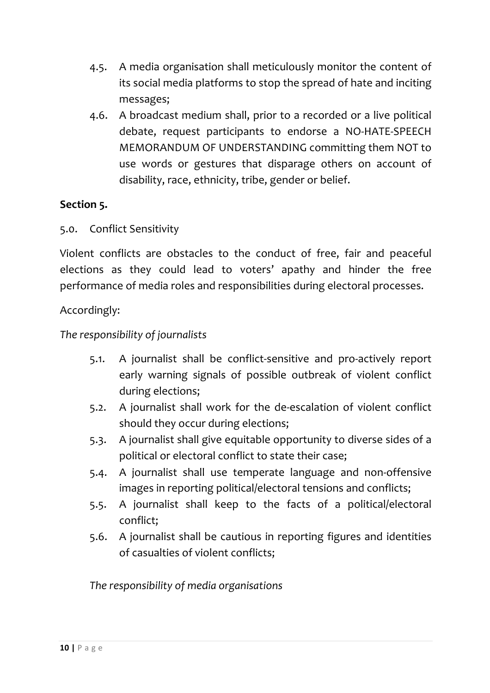- 4.5. A media organisation shall meticulously monitor the content of its social media platforms to stop the spread of hate and inciting messages;
- 4.6. A broadcast medium shall, prior to a recorded or a live political debate, request participants to endorse a NO-HATE-SPEECH MEMORANDUM OF UNDERSTANDING committing them NOT to use words or gestures that disparage others on account of disability, race, ethnicity, tribe, gender or belief.

# **Section 5.**

5.0. Conflict Sensitivity

Violent conflicts are obstacles to the conduct of free, fair and peaceful elections as they could lead to voters' apathy and hinder the free performance of media roles and responsibilities during electoral processes.

Accordingly:

The responsibility of journalists

- 5.1. A journalist shall be conflict-sensitive and pro-actively report early warning signals of possible outbreak of violent conflict during elections;
- 5.2. A journalist shall work for the de-escalation of violent conflict should they occur during elections;
- 5.3. A journalist shall give equitable opportunity to diverse sides of a political or electoral conflict to state their case;
- 5.4. A journalist shall use temperate language and non-offensive images in reporting political/electoral tensions and conflicts;
- 5.5. A journalist shall keep to the facts of a political/electoral conflict;
- 5.6. A journalist shall be cautious in reporting figures and identities of casualties of violent conflicts;

The responsibility of media organisations